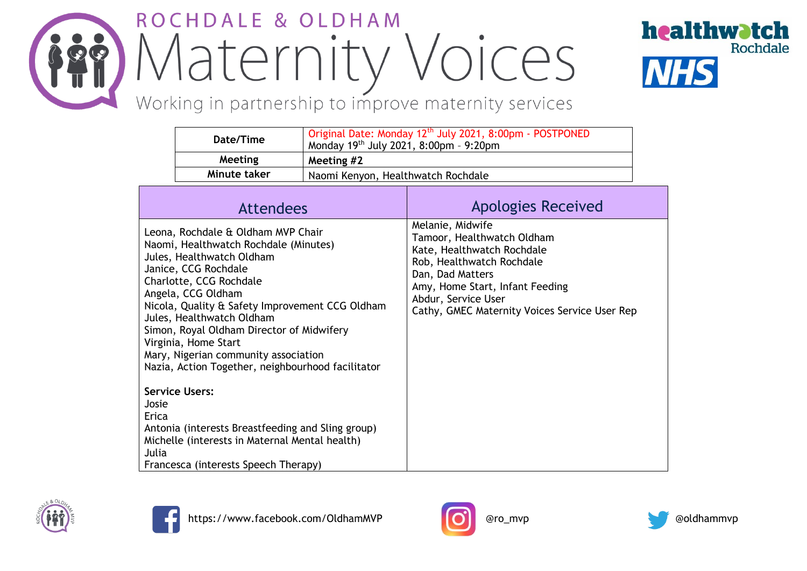## ROCHDALE & OLDHAM *in Maternity Voices*



Working in partnership to improve maternity services

|                                                                                                                                                                                                                                                                                                                                                                                                                                     | Date/Time        | Monday 19th July 2021, 8:00pm - 9:20pm | Original Date: Monday 12 <sup>th</sup> July 2021, 8:00pm - POSTPONED                                                                                                                                                                     |
|-------------------------------------------------------------------------------------------------------------------------------------------------------------------------------------------------------------------------------------------------------------------------------------------------------------------------------------------------------------------------------------------------------------------------------------|------------------|----------------------------------------|------------------------------------------------------------------------------------------------------------------------------------------------------------------------------------------------------------------------------------------|
|                                                                                                                                                                                                                                                                                                                                                                                                                                     | Meeting          | Meeting #2                             |                                                                                                                                                                                                                                          |
|                                                                                                                                                                                                                                                                                                                                                                                                                                     | Minute taker     | Naomi Kenyon, Healthwatch Rochdale     |                                                                                                                                                                                                                                          |
|                                                                                                                                                                                                                                                                                                                                                                                                                                     | <b>Attendees</b> |                                        | <b>Apologies Received</b>                                                                                                                                                                                                                |
| Leona, Rochdale & Oldham MVP Chair<br>Naomi, Healthwatch Rochdale (Minutes)<br>Jules, Healthwatch Oldham<br>Janice, CCG Rochdale<br>Charlotte, CCG Rochdale<br>Angela, CCG Oldham<br>Nicola, Quality & Safety Improvement CCG Oldham<br>Jules, Healthwatch Oldham<br>Simon, Royal Oldham Director of Midwifery<br>Virginia, Home Start<br>Mary, Nigerian community association<br>Nazia, Action Together, neighbourhood facilitator |                  |                                        | Melanie, Midwife<br>Tamoor, Healthwatch Oldham<br>Kate, Healthwatch Rochdale<br>Rob, Healthwatch Rochdale<br>Dan, Dad Matters<br>Amy, Home Start, Infant Feeding<br>Abdur, Service User<br>Cathy, GMEC Maternity Voices Service User Rep |
| <b>Service Users:</b><br>Josie<br>Erica<br>Antonia (interests Breastfeeding and Sling group)<br>Michelle (interests in Maternal Mental health)<br>Julia<br>Francesca (interests Speech Therapy)                                                                                                                                                                                                                                     |                  |                                        |                                                                                                                                                                                                                                          |







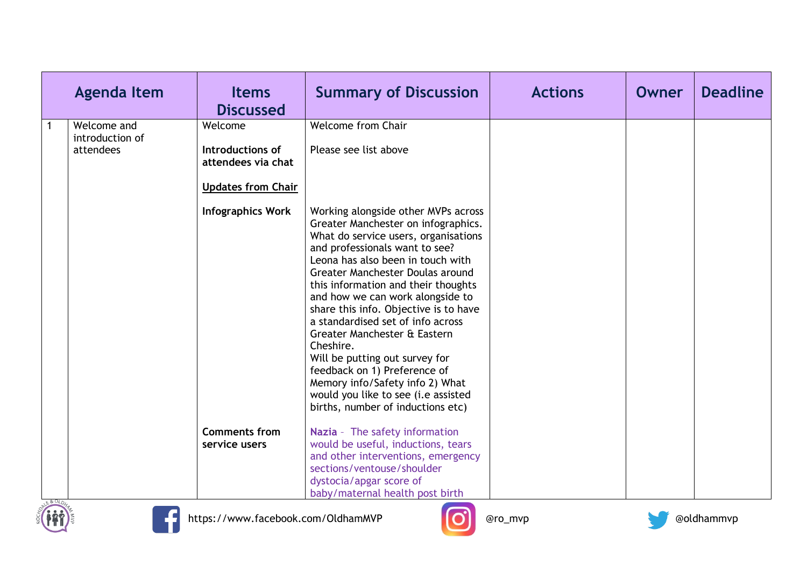| <b>Agenda Item</b>                          | <b>Items</b><br><b>Discussed</b>                                               | <b>Summary of Discussion</b>                                                                                                                                                                                                                                                                                                                                                                                                                                                                                                                                                                                         | <b>Actions</b> | Owner | <b>Deadline</b> |
|---------------------------------------------|--------------------------------------------------------------------------------|----------------------------------------------------------------------------------------------------------------------------------------------------------------------------------------------------------------------------------------------------------------------------------------------------------------------------------------------------------------------------------------------------------------------------------------------------------------------------------------------------------------------------------------------------------------------------------------------------------------------|----------------|-------|-----------------|
| Welcome and<br>introduction of<br>attendees | Welcome<br>Introductions of<br>attendees via chat<br><b>Updates from Chair</b> | <b>Welcome from Chair</b><br>Please see list above                                                                                                                                                                                                                                                                                                                                                                                                                                                                                                                                                                   |                |       |                 |
|                                             | <b>Infographics Work</b>                                                       | Working alongside other MVPs across<br>Greater Manchester on infographics.<br>What do service users, organisations<br>and professionals want to see?<br>Leona has also been in touch with<br>Greater Manchester Doulas around<br>this information and their thoughts<br>and how we can work alongside to<br>share this info. Objective is to have<br>a standardised set of info across<br>Greater Manchester & Eastern<br>Cheshire.<br>Will be putting out survey for<br>feedback on 1) Preference of<br>Memory info/Safety info 2) What<br>would you like to see (i.e assisted<br>births, number of inductions etc) |                |       |                 |
|                                             | <b>Comments from</b><br>service users                                          | Nazia - The safety information<br>would be useful, inductions, tears<br>and other interventions, emergency<br>sections/ventouse/shoulder<br>dystocia/apgar score of<br>baby/maternal health post birth                                                                                                                                                                                                                                                                                                                                                                                                               |                |       |                 |







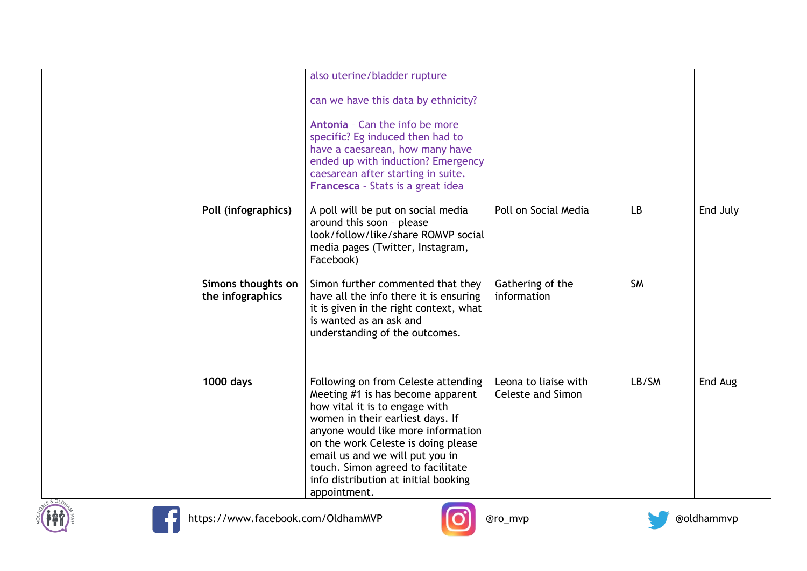|                                        | also uterine/bladder rupture                                                                                                                                                                                                                                                                                                                                |                                                  |           |          |
|----------------------------------------|-------------------------------------------------------------------------------------------------------------------------------------------------------------------------------------------------------------------------------------------------------------------------------------------------------------------------------------------------------------|--------------------------------------------------|-----------|----------|
|                                        | can we have this data by ethnicity?                                                                                                                                                                                                                                                                                                                         |                                                  |           |          |
|                                        | Antonia - Can the info be more<br>specific? Eg induced then had to<br>have a caesarean, how many have<br>ended up with induction? Emergency<br>caesarean after starting in suite.<br>Francesca - Stats is a great idea                                                                                                                                      |                                                  |           |          |
| Poll (infographics)                    | A poll will be put on social media<br>around this soon - please<br>look/follow/like/share ROMVP social<br>media pages (Twitter, Instagram,<br>Facebook)                                                                                                                                                                                                     | Poll on Social Media                             | LB        | End July |
| Simons thoughts on<br>the infographics | Simon further commented that they<br>have all the info there it is ensuring<br>it is given in the right context, what<br>is wanted as an ask and<br>understanding of the outcomes.                                                                                                                                                                          | Gathering of the<br>information                  | <b>SM</b> |          |
| <b>1000 days</b>                       | Following on from Celeste attending<br>Meeting #1 is has become apparent<br>how vital it is to engage with<br>women in their earliest days. If<br>anyone would like more information<br>on the work Celeste is doing please<br>email us and we will put you in<br>touch. Simon agreed to facilitate<br>info distribution at initial booking<br>appointment. | Leona to liaise with<br><b>Celeste and Simon</b> | LB/SM     | End Aug  |





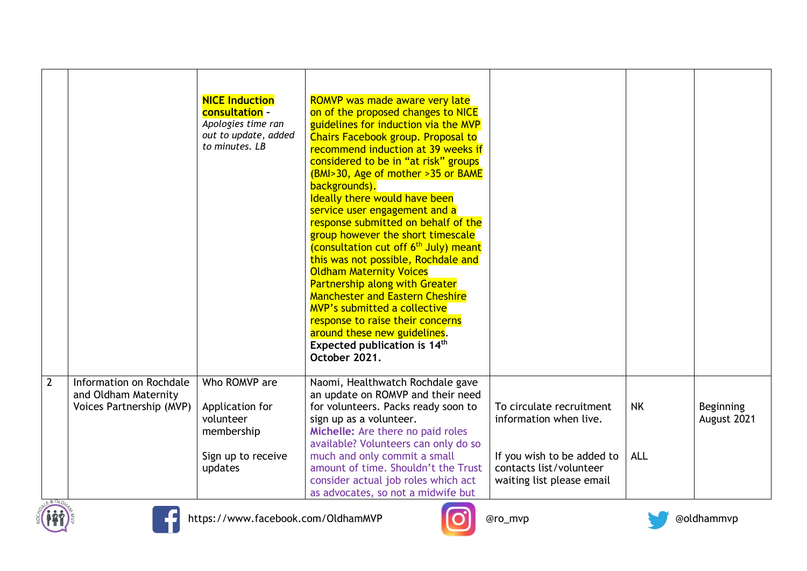|                |                                                                             | <b>NICE Induction</b><br><b>consultation -</b><br>Apologies time ran<br>out to update, added<br>to minutes. LB | ROMVP was made aware very late<br>on of the proposed changes to NICE<br>guidelines for induction via the MVP<br><b>Chairs Facebook group. Proposal to</b><br>recommend induction at 39 weeks if<br>considered to be in "at risk" groups<br>(BMI>30, Age of mother >35 or BAME<br>backgrounds).<br>Ideally there would have been<br>service user engagement and a<br>response submitted on behalf of the<br>group however the short timescale<br>(consultation cut off 6 <sup>th</sup> July) meant<br>this was not possible, Rochdale and<br><b>Oldham Maternity Voices</b><br><b>Partnership along with Greater</b><br><b>Manchester and Eastern Cheshire</b><br><b>MVP's submitted a collective</b><br>response to raise their concerns<br>around these new guidelines.<br>Expected publication is 14 <sup>th</sup><br>October 2021. |                                                                                    |            |                          |
|----------------|-----------------------------------------------------------------------------|----------------------------------------------------------------------------------------------------------------|---------------------------------------------------------------------------------------------------------------------------------------------------------------------------------------------------------------------------------------------------------------------------------------------------------------------------------------------------------------------------------------------------------------------------------------------------------------------------------------------------------------------------------------------------------------------------------------------------------------------------------------------------------------------------------------------------------------------------------------------------------------------------------------------------------------------------------------|------------------------------------------------------------------------------------|------------|--------------------------|
| $\overline{2}$ | Information on Rochdale<br>and Oldham Maternity<br>Voices Partnership (MVP) | Who ROMVP are<br>Application for<br>volunteer<br>membership                                                    | Naomi, Healthwatch Rochdale gave<br>an update on ROMVP and their need<br>for volunteers. Packs ready soon to<br>sign up as a volunteer.<br>Michelle: Are there no paid roles<br>available? Volunteers can only do so                                                                                                                                                                                                                                                                                                                                                                                                                                                                                                                                                                                                                  | To circulate recruitment<br>information when live.                                 | <b>NK</b>  | Beginning<br>August 2021 |
|                |                                                                             | Sign up to receive<br>updates                                                                                  | much and only commit a small<br>amount of time. Shouldn't the Trust<br>consider actual job roles which act<br>as advocates, so not a midwife but                                                                                                                                                                                                                                                                                                                                                                                                                                                                                                                                                                                                                                                                                      | If you wish to be added to<br>contacts list/volunteer<br>waiting list please email | <b>ALL</b> |                          |





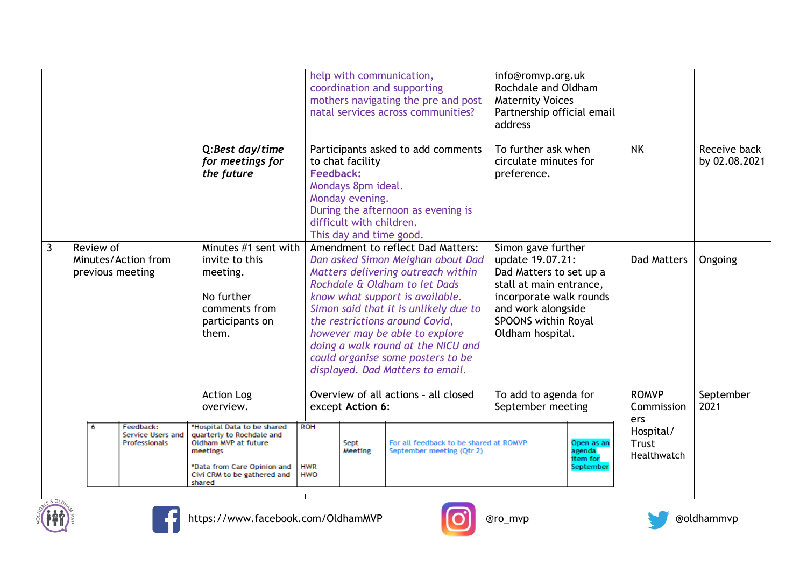|              |                                                      | Q:Best day/time<br>for meetings for<br>the future                                                                                                                                                      | help with communication,<br>coordination and supporting<br>to chat facility<br>Feedback:<br>Mondays 8pm ideal.<br>Monday evening.<br>difficult with children.<br>This day and time good. | mothers navigating the pre and post<br>natal services across communities?<br>Participants asked to add comments<br>During the afternoon as evening is                                                                            | info@romvp.org.uk -<br>Rochdale and Oldham<br><b>Maternity Voices</b><br>Partnership official email<br>address<br>To further ask when<br>circulate minutes for<br>preference.            | <b>NK</b>                                                                     | Receive back<br>by 02.08.2021 |
|--------------|------------------------------------------------------|--------------------------------------------------------------------------------------------------------------------------------------------------------------------------------------------------------|------------------------------------------------------------------------------------------------------------------------------------------------------------------------------------------|----------------------------------------------------------------------------------------------------------------------------------------------------------------------------------------------------------------------------------|------------------------------------------------------------------------------------------------------------------------------------------------------------------------------------------|-------------------------------------------------------------------------------|-------------------------------|
| $\mathbf{3}$ | Review of<br>Minutes/Action from<br>previous meeting | Minutes #1 sent with<br>invite to this<br>meeting.<br>No further<br>comments from<br>participants on<br>them.                                                                                          | Rochdale & Oldham to let Dads<br>know what support is available.<br>the restrictions around Covid,<br>however may be able to explore<br>displayed. Dad Matters to email.                 | Amendment to reflect Dad Matters:<br>Dan asked Simon Meighan about Dad<br>Matters delivering outreach within<br>Simon said that it is unlikely due to<br>doing a walk round at the NICU and<br>could organise some posters to be | Simon gave further<br>update 19.07.21:<br>Dad Matters to set up a<br>stall at main entrance,<br>incorporate walk rounds<br>and work alongside<br>SPOONS within Royal<br>Oldham hospital. | <b>Dad Matters</b>                                                            | Ongoing                       |
|              | Feedback:<br>6<br>Service Users and<br>Professionals | <b>Action Log</b><br>overview.<br>*Hospital Data to be shared<br>quarterly to Rochdale and<br>Oldham MVP at future<br>meetings<br>*Data from Care Opinion and<br>Civi CRM to be gathered and<br>shared | except Action 6:<br><b>ROH</b><br>Sept<br>Meeting<br><b>HWR</b><br><b>HWO</b>                                                                                                            | Overview of all actions - all closed<br>For all feedback to be shared at ROMVP<br>September meeting (Qtr 2)                                                                                                                      | To add to agenda for<br>September meeting<br>Open as an<br>agenda<br>item for<br>September                                                                                               | <b>ROMVP</b><br>Commission<br>ers<br>Hospital/<br><b>Trust</b><br>Healthwatch | September<br>2021             |





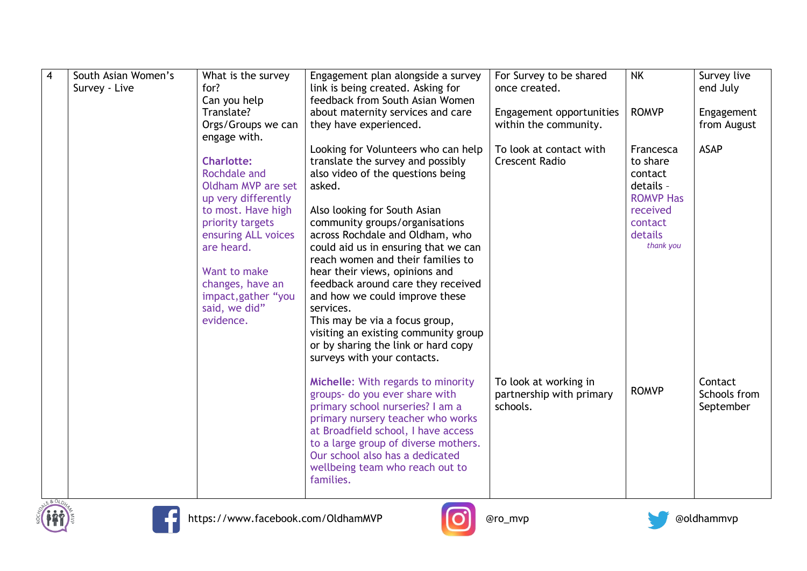| $\overline{\mathbf{4}}$ | South Asian Women's<br>Survey - Live | What is the survey<br>for?<br>Can you help<br>Translate?<br>Orgs/Groups we can<br>engage with.                                                                                                                                                         | Engagement plan alongside a survey<br>link is being created. Asking for<br>feedback from South Asian Women<br>about maternity services and care<br>they have experienced.                                                                                                                                                                                                                                                                                                                                                                                                        | For Survey to be shared<br>once created.<br>Engagement opportunities<br>within the community. | <b>NK</b><br><b>ROMVP</b>                                                                                        | Survey live<br>end July<br>Engagement<br>from August |
|-------------------------|--------------------------------------|--------------------------------------------------------------------------------------------------------------------------------------------------------------------------------------------------------------------------------------------------------|----------------------------------------------------------------------------------------------------------------------------------------------------------------------------------------------------------------------------------------------------------------------------------------------------------------------------------------------------------------------------------------------------------------------------------------------------------------------------------------------------------------------------------------------------------------------------------|-----------------------------------------------------------------------------------------------|------------------------------------------------------------------------------------------------------------------|------------------------------------------------------|
|                         |                                      | <b>Charlotte:</b><br>Rochdale and<br>Oldham MVP are set<br>up very differently<br>to most. Have high<br>priority targets<br>ensuring ALL voices<br>are heard.<br>Want to make<br>changes, have an<br>impact, gather "you<br>said, we did"<br>evidence. | Looking for Volunteers who can help<br>translate the survey and possibly<br>also video of the questions being<br>asked.<br>Also looking for South Asian<br>community groups/organisations<br>across Rochdale and Oldham, who<br>could aid us in ensuring that we can<br>reach women and their families to<br>hear their views, opinions and<br>feedback around care they received<br>and how we could improve these<br>services.<br>This may be via a focus group,<br>visiting an existing community group<br>or by sharing the link or hard copy<br>surveys with your contacts. | To look at contact with<br><b>Crescent Radio</b>                                              | Francesca<br>to share<br>contact<br>details -<br><b>ROMVP Has</b><br>received<br>contact<br>details<br>thank you | <b>ASAP</b>                                          |
|                         |                                      |                                                                                                                                                                                                                                                        | Michelle: With regards to minority<br>groups- do you ever share with<br>primary school nurseries? I am a<br>primary nursery teacher who works<br>at Broadfield school, I have access<br>to a large group of diverse mothers.<br>Our school also has a dedicated<br>wellbeing team who reach out to<br>families.                                                                                                                                                                                                                                                                  | To look at working in<br>partnership with primary<br>schools.                                 | <b>ROMVP</b>                                                                                                     | Contact<br>Schools from<br>September                 |





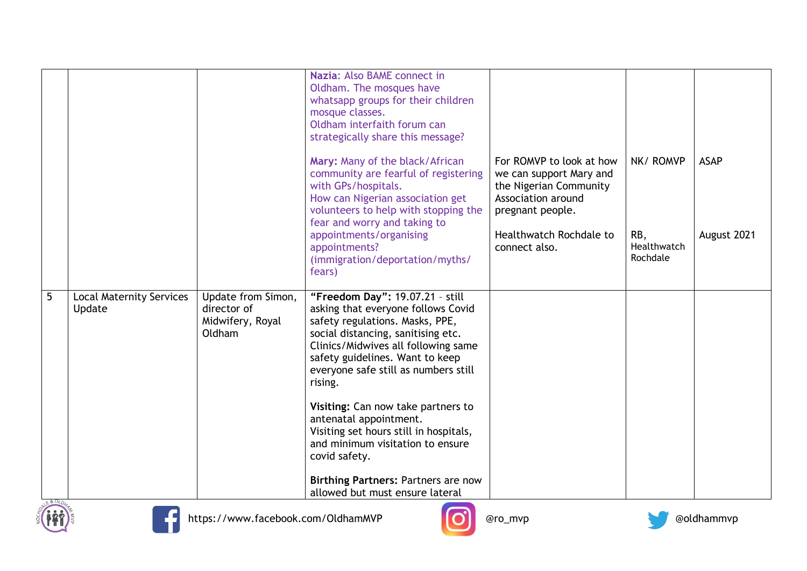|   |                                           |                                                                 | Nazia: Also BAME connect in<br>Oldham. The mosques have<br>whatsapp groups for their children<br>mosque classes.<br>Oldham interfaith forum can<br>strategically share this message?                                                                                                                              |                                                                                                                         |                                |             |
|---|-------------------------------------------|-----------------------------------------------------------------|-------------------------------------------------------------------------------------------------------------------------------------------------------------------------------------------------------------------------------------------------------------------------------------------------------------------|-------------------------------------------------------------------------------------------------------------------------|--------------------------------|-------------|
|   |                                           |                                                                 | Mary: Many of the black/African<br>community are fearful of registering<br>with GPs/hospitals.<br>How can Nigerian association get<br>volunteers to help with stopping the<br>fear and worry and taking to                                                                                                        | For ROMVP to look at how<br>we can support Mary and<br>the Nigerian Community<br>Association around<br>pregnant people. | NK/ROMVP                       | <b>ASAP</b> |
|   |                                           |                                                                 | appointments/organising<br>appointments?<br>(immigration/deportation/myths/<br>fears)                                                                                                                                                                                                                             | Healthwatch Rochdale to<br>connect also.                                                                                | RB,<br>Healthwatch<br>Rochdale | August 2021 |
| 5 | <b>Local Maternity Services</b><br>Update | Update from Simon,<br>director of<br>Midwifery, Royal<br>Oldham | "Freedom Day": 19.07.21 - still<br>asking that everyone follows Covid<br>safety regulations. Masks, PPE,<br>social distancing, sanitising etc.<br>Clinics/Midwives all following same<br>safety guidelines. Want to keep<br>everyone safe still as numbers still<br>rising.<br>Visiting: Can now take partners to |                                                                                                                         |                                |             |
|   |                                           |                                                                 | antenatal appointment.<br>Visiting set hours still in hospitals,<br>and minimum visitation to ensure<br>covid safety.                                                                                                                                                                                             |                                                                                                                         |                                |             |
|   |                                           |                                                                 | Birthing Partners: Partners are now<br>allowed but must ensure lateral                                                                                                                                                                                                                                            |                                                                                                                         |                                |             |





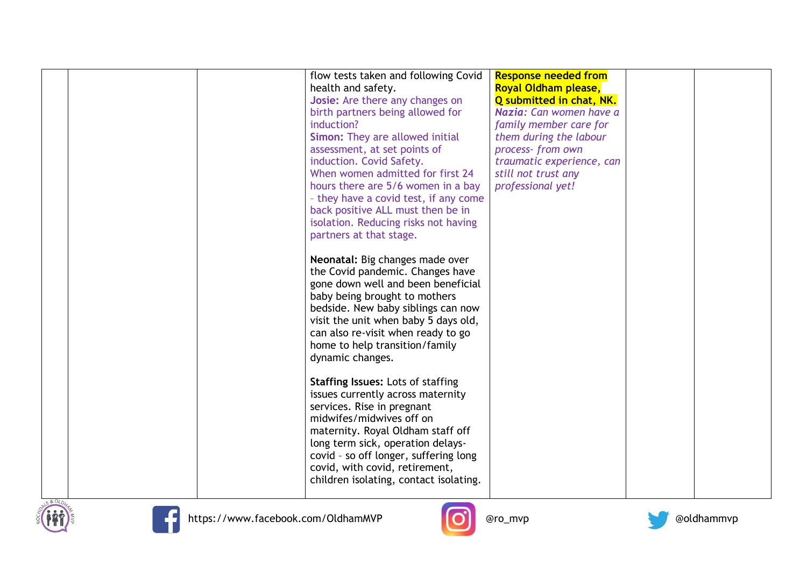|  | flow tests taken and following Covid<br>health and safety.<br>Josie: Are there any changes on<br>birth partners being allowed for<br>induction?<br>Simon: They are allowed initial<br>assessment, at set points of<br>induction. Covid Safety.<br>When women admitted for first 24<br>hours there are 5/6 women in a bay<br>- they have a covid test, if any come<br>back positive ALL must then be in<br>isolation. Reducing risks not having<br>partners at that stage.<br>Neonatal: Big changes made over<br>the Covid pandemic. Changes have<br>gone down well and been beneficial<br>baby being brought to mothers<br>bedside. New baby siblings can now<br>visit the unit when baby 5 days old,<br>can also re-visit when ready to go<br>home to help transition/family<br>dynamic changes.<br><b>Staffing Issues: Lots of staffing</b><br>issues currently across maternity<br>services. Rise in pregnant<br>midwifes/midwives off on<br>maternity. Royal Oldham staff off | <b>Response needed from</b><br>Royal Oldham please,<br>Q submitted in chat, NK.<br>Nazia: Can women have a<br>family member care for<br>them during the labour<br>process-from own<br>traumatic experience, can<br>still not trust any<br>professional yet! |  |
|--|-----------------------------------------------------------------------------------------------------------------------------------------------------------------------------------------------------------------------------------------------------------------------------------------------------------------------------------------------------------------------------------------------------------------------------------------------------------------------------------------------------------------------------------------------------------------------------------------------------------------------------------------------------------------------------------------------------------------------------------------------------------------------------------------------------------------------------------------------------------------------------------------------------------------------------------------------------------------------------------|-------------------------------------------------------------------------------------------------------------------------------------------------------------------------------------------------------------------------------------------------------------|--|
|  | long term sick, operation delays-<br>covid - so off longer, suffering long<br>covid, with covid, retirement,<br>children isolating, contact isolating.                                                                                                                                                                                                                                                                                                                                                                                                                                                                                                                                                                                                                                                                                                                                                                                                                            |                                                                                                                                                                                                                                                             |  |







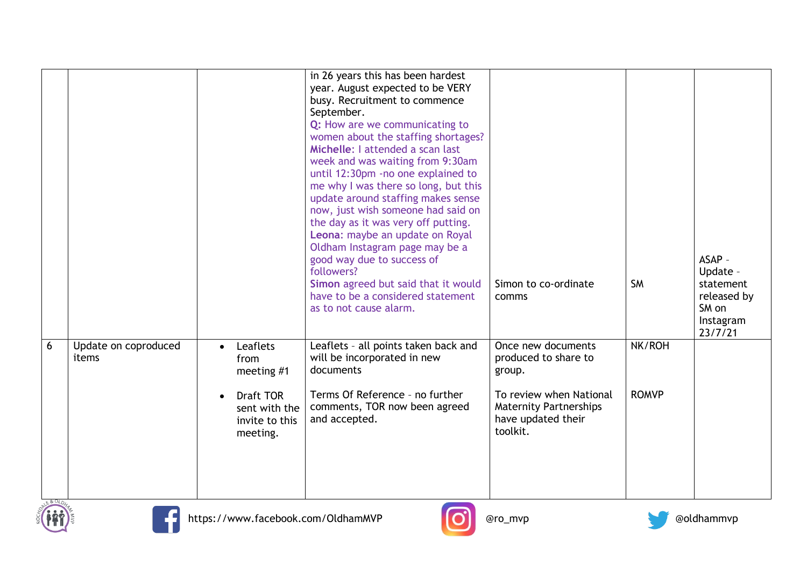|             |                               |                        |                                                                                            | in 26 years this has been hardest<br>year. August expected to be VERY<br>busy. Recruitment to commence<br>September.<br>Q: How are we communicating to<br>women about the staffing shortages?<br>Michelle: I attended a scan last<br>week and was waiting from 9:30am<br>until 12:30pm -no one explained to<br>me why I was there so long, but this<br>update around staffing makes sense<br>now, just wish someone had said on<br>the day as it was very off putting.<br>Leona: maybe an update on Royal<br>Oldham Instagram page may be a<br>good way due to success of<br>followers?<br>Simon agreed but said that it would<br>have to be a considered statement<br>as to not cause alarm. | Simon to co-ordinate<br>comms                                                                                                                      | <b>SM</b>              | ASAP -<br>Update -<br>statement<br>released by<br>SM on<br>Instagram<br>23/7/21 |
|-------------|-------------------------------|------------------------|--------------------------------------------------------------------------------------------|-----------------------------------------------------------------------------------------------------------------------------------------------------------------------------------------------------------------------------------------------------------------------------------------------------------------------------------------------------------------------------------------------------------------------------------------------------------------------------------------------------------------------------------------------------------------------------------------------------------------------------------------------------------------------------------------------|----------------------------------------------------------------------------------------------------------------------------------------------------|------------------------|---------------------------------------------------------------------------------|
| 6<br>E&OLDN | Update on coproduced<br>items | $\bullet$<br>$\bullet$ | Leaflets<br>from<br>meeting #1<br>Draft TOR<br>sent with the<br>invite to this<br>meeting. | Leaflets - all points taken back and<br>will be incorporated in new<br>documents<br>Terms Of Reference - no further<br>comments, TOR now been agreed<br>and accepted.                                                                                                                                                                                                                                                                                                                                                                                                                                                                                                                         | Once new documents<br>produced to share to<br>group.<br>To review when National<br><b>Maternity Partnerships</b><br>have updated their<br>toolkit. | NK/ROH<br><b>ROMVP</b> |                                                                                 |





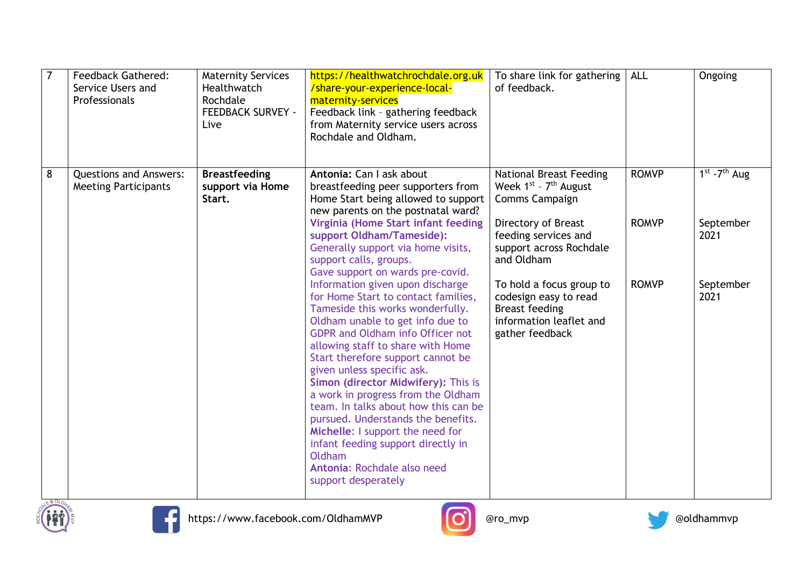| $\overline{7}$ | <b>Feedback Gathered:</b><br>Service Users and<br>Professionals | <b>Maternity Services</b><br>Healthwatch<br>Rochdale<br><b>FEEDBACK SURVEY -</b><br>Live | https://healthwatchrochdale.org.uk<br>/share-your-experience-local-<br>maternity-services<br>Feedback link - gathering feedback<br>from Maternity service users across<br>Rochdale and Oldham.                                                                                                                                                                                                                                                                                                                                                                                                          | To share link for gathering<br>of feedback.                                                                              | <b>ALL</b>   | Ongoing           |
|----------------|-----------------------------------------------------------------|------------------------------------------------------------------------------------------|---------------------------------------------------------------------------------------------------------------------------------------------------------------------------------------------------------------------------------------------------------------------------------------------------------------------------------------------------------------------------------------------------------------------------------------------------------------------------------------------------------------------------------------------------------------------------------------------------------|--------------------------------------------------------------------------------------------------------------------------|--------------|-------------------|
| 8              | <b>Questions and Answers:</b><br><b>Meeting Participants</b>    | <b>Breastfeeding</b><br>support via Home<br>Start.                                       | Antonia: Can I ask about<br>breastfeeding peer supporters from<br>Home Start being allowed to support<br>new parents on the postnatal ward?                                                                                                                                                                                                                                                                                                                                                                                                                                                             | <b>National Breast Feeding</b><br>Week $1^{st}$ - $7^{th}$ August<br>Comms Campaign                                      | <b>ROMVP</b> | $1st - 7th$ Aug   |
|                |                                                                 |                                                                                          | Virginia (Home Start infant feeding<br>support Oldham/Tameside):<br>Generally support via home visits,<br>support calls, groups.<br>Gave support on wards pre-covid.                                                                                                                                                                                                                                                                                                                                                                                                                                    | Directory of Breast<br>feeding services and<br>support across Rochdale<br>and Oldham                                     | <b>ROMVP</b> | September<br>2021 |
| E&OLD4         |                                                                 |                                                                                          | Information given upon discharge<br>for Home Start to contact families,<br>Tameside this works wonderfully.<br>Oldham unable to get info due to<br><b>GDPR and Oldham info Officer not</b><br>allowing staff to share with Home<br>Start therefore support cannot be<br>given unless specific ask.<br>Simon (director Midwifery): This is<br>a work in progress from the Oldham<br>team. In talks about how this can be<br>pursued. Understands the benefits.<br>Michelle: I support the need for<br>infant feeding support directly in<br>Oldham<br>Antonia: Rochdale also need<br>support desperately | To hold a focus group to<br>codesign easy to read<br><b>Breast feeding</b><br>information leaflet and<br>gather feedback | <b>ROMVP</b> | September<br>2021 |





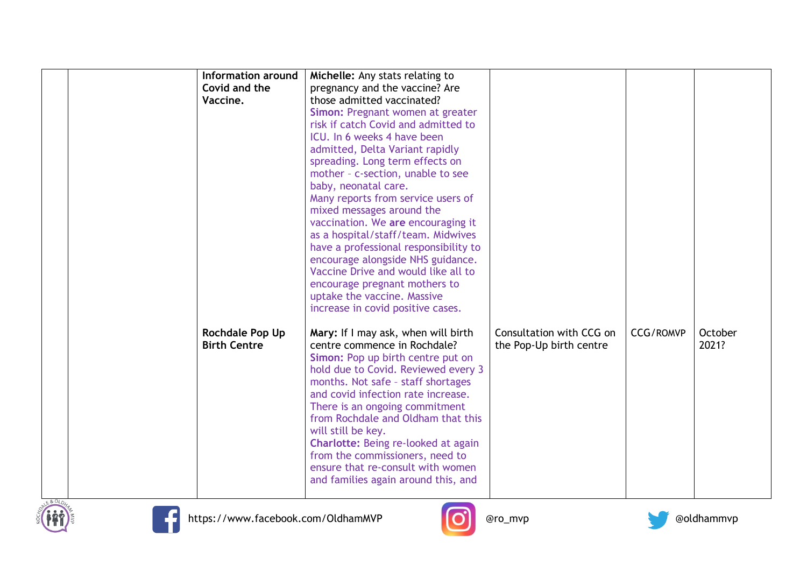|                     | Information around | Michelle: Any stats relating to       |                          |                  |         |
|---------------------|--------------------|---------------------------------------|--------------------------|------------------|---------|
| Covid and the       |                    | pregnancy and the vaccine? Are        |                          |                  |         |
| Vaccine.            |                    | those admitted vaccinated?            |                          |                  |         |
|                     |                    | Simon: Pregnant women at greater      |                          |                  |         |
|                     |                    | risk if catch Covid and admitted to   |                          |                  |         |
|                     |                    | ICU. In 6 weeks 4 have been           |                          |                  |         |
|                     |                    |                                       |                          |                  |         |
|                     |                    | admitted, Delta Variant rapidly       |                          |                  |         |
|                     |                    | spreading. Long term effects on       |                          |                  |         |
|                     |                    | mother - c-section, unable to see     |                          |                  |         |
|                     |                    | baby, neonatal care.                  |                          |                  |         |
|                     |                    | Many reports from service users of    |                          |                  |         |
|                     |                    | mixed messages around the             |                          |                  |         |
|                     |                    | vaccination. We are encouraging it    |                          |                  |         |
|                     |                    | as a hospital/staff/team. Midwives    |                          |                  |         |
|                     |                    | have a professional responsibility to |                          |                  |         |
|                     |                    | encourage alongside NHS guidance.     |                          |                  |         |
|                     |                    | Vaccine Drive and would like all to   |                          |                  |         |
|                     |                    | encourage pregnant mothers to         |                          |                  |         |
|                     |                    | uptake the vaccine. Massive           |                          |                  |         |
|                     |                    | increase in covid positive cases.     |                          |                  |         |
|                     |                    |                                       |                          |                  |         |
| Rochdale Pop Up     |                    | Mary: If I may ask, when will birth   | Consultation with CCG on | <b>CCG/ROMVP</b> | October |
| <b>Birth Centre</b> |                    | centre commence in Rochdale?          | the Pop-Up birth centre  |                  | 2021?   |
|                     |                    | Simon: Pop up birth centre put on     |                          |                  |         |
|                     |                    | hold due to Covid. Reviewed every 3   |                          |                  |         |
|                     |                    | months. Not safe - staff shortages    |                          |                  |         |
|                     |                    | and covid infection rate increase.    |                          |                  |         |
|                     |                    |                                       |                          |                  |         |
|                     |                    | There is an ongoing commitment        |                          |                  |         |
|                     |                    | from Rochdale and Oldham that this    |                          |                  |         |
|                     |                    | will still be key.                    |                          |                  |         |
|                     |                    | Charlotte: Being re-looked at again   |                          |                  |         |
|                     |                    | from the commissioners, need to       |                          |                  |         |
|                     |                    | ensure that re-consult with women     |                          |                  |         |
|                     |                    | and families again around this, and   |                          |                  |         |
|                     |                    |                                       |                          |                  |         |







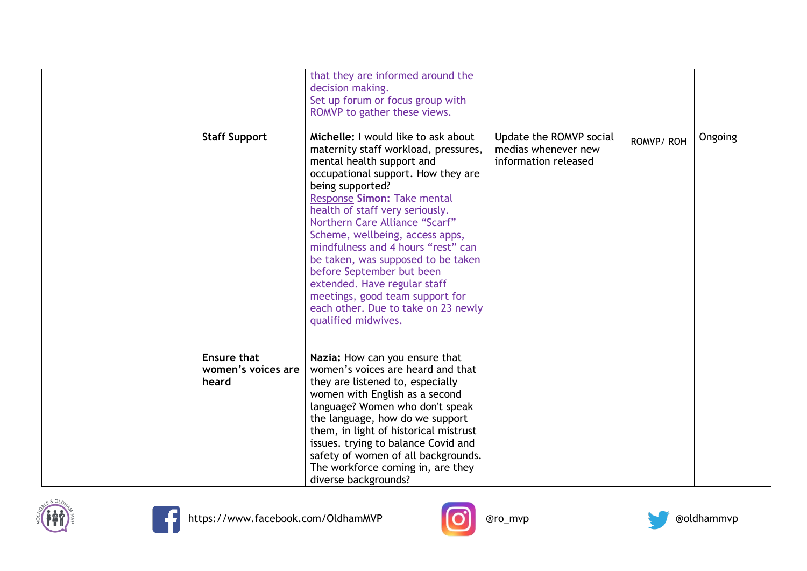| <b>Staff Support</b>                              | that they are informed around the<br>decision making.<br>Set up forum or focus group with<br>ROMVP to gather these views.<br>Michelle: I would like to ask about<br>maternity staff workload, pressures,<br>mental health support and<br>occupational support. How they are<br>being supported?<br>Response Simon: Take mental<br>health of staff very seriously.<br>Northern Care Alliance "Scarf"<br>Scheme, wellbeing, access apps,<br>mindfulness and 4 hours "rest" can<br>be taken, was supposed to be taken<br>before September but been<br>extended. Have regular staff<br>meetings, good team support for<br>each other. Due to take on 23 newly<br>qualified midwives. | Update the ROMVP social<br>medias whenever new<br>information released | ROMVP/ROH | Ongoing |
|---------------------------------------------------|----------------------------------------------------------------------------------------------------------------------------------------------------------------------------------------------------------------------------------------------------------------------------------------------------------------------------------------------------------------------------------------------------------------------------------------------------------------------------------------------------------------------------------------------------------------------------------------------------------------------------------------------------------------------------------|------------------------------------------------------------------------|-----------|---------|
| <b>Ensure that</b><br>women's voices are<br>heard | Nazia: How can you ensure that<br>women's voices are heard and that<br>they are listened to, especially<br>women with English as a second<br>language? Women who don't speak<br>the language, how do we support<br>them, in light of historical mistrust<br>issues. trying to balance Covid and<br>safety of women of all backgrounds.<br>The workforce coming in, are they<br>diverse backgrounds?                                                                                                                                                                                                                                                                              |                                                                        |           |         |







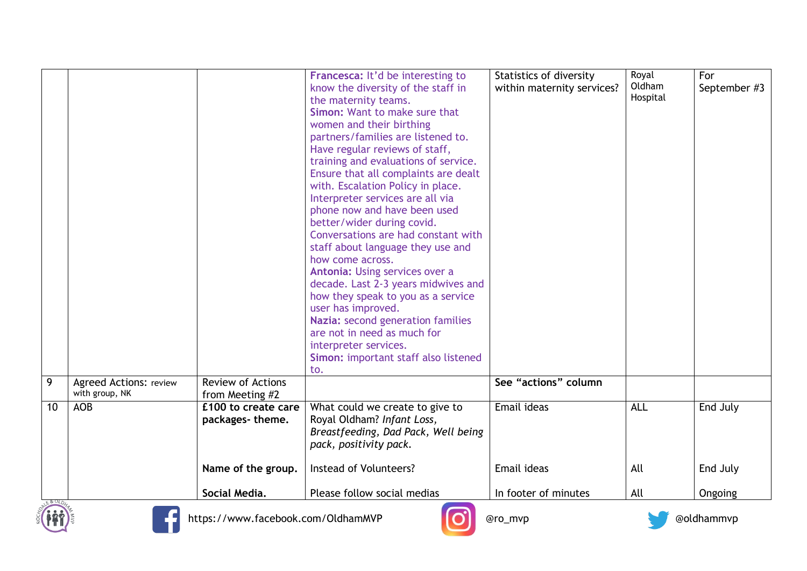|       |                                                 |                                             | Francesca: It'd be interesting to<br>know the diversity of the staff in<br>the maternity teams.<br>Simon: Want to make sure that<br>women and their birthing<br>partners/families are listened to.<br>Have regular reviews of staff,<br>training and evaluations of service.<br>Ensure that all complaints are dealt<br>with. Escalation Policy in place.<br>Interpreter services are all via<br>phone now and have been used<br>better/wider during covid.<br>Conversations are had constant with<br>staff about language they use and<br>how come across.<br>Antonia: Using services over a<br>decade. Last 2-3 years midwives and<br>how they speak to you as a service<br>user has improved.<br>Nazia: second generation families<br>are not in need as much for<br>interpreter services.<br>Simon: important staff also listened<br>to. | Statistics of diversity<br>within maternity services? | Royal<br>Oldham<br>Hospital | For<br>September #3 |
|-------|-------------------------------------------------|---------------------------------------------|----------------------------------------------------------------------------------------------------------------------------------------------------------------------------------------------------------------------------------------------------------------------------------------------------------------------------------------------------------------------------------------------------------------------------------------------------------------------------------------------------------------------------------------------------------------------------------------------------------------------------------------------------------------------------------------------------------------------------------------------------------------------------------------------------------------------------------------------|-------------------------------------------------------|-----------------------------|---------------------|
| 9     | <b>Agreed Actions: review</b><br>with group, NK | <b>Review of Actions</b><br>from Meeting #2 |                                                                                                                                                                                                                                                                                                                                                                                                                                                                                                                                                                                                                                                                                                                                                                                                                                              | See "actions" column                                  |                             |                     |
| 10    | <b>AOB</b>                                      | £100 to create care<br>packages-theme.      | What could we create to give to<br>Royal Oldham? Infant Loss,<br>Breastfeeding, Dad Pack, Well being<br>pack, positivity pack.                                                                                                                                                                                                                                                                                                                                                                                                                                                                                                                                                                                                                                                                                                               | Email ideas                                           | <b>ALL</b>                  | End July            |
|       |                                                 | Name of the group.                          | Instead of Volunteers?                                                                                                                                                                                                                                                                                                                                                                                                                                                                                                                                                                                                                                                                                                                                                                                                                       | Email ideas                                           | All                         | End July            |
| 680LO |                                                 | Social Media.                               | Please follow social medias                                                                                                                                                                                                                                                                                                                                                                                                                                                                                                                                                                                                                                                                                                                                                                                                                  | In footer of minutes                                  | All                         | Ongoing             |